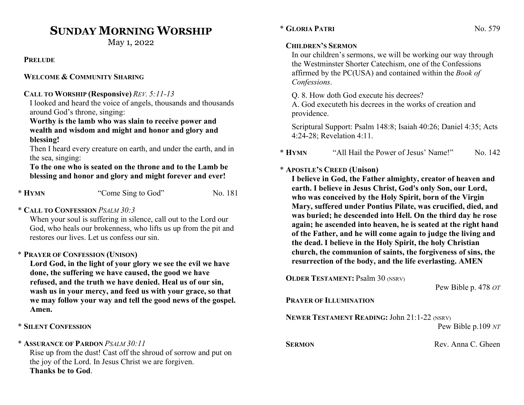# SUNDAY MORNING WORSHIP

May 1, 2022

**PRELUDE** 

#### WELCOME & COMMUNITY SHARING

#### CALL TO WORSHIP (Responsive) REV. 5:11-13

I looked and heard the voice of angels, thousands and thousands around God's throne, singing:

#### Worthy is the lamb who was slain to receive power and wealth and wisdom and might and honor and glory and blessing!

Then I heard every creature on earth, and under the earth, and in the sea, singing:

#### To the one who is seated on the throne and to the Lamb be blessing and honor and glory and might forever and ever!

| * HYMN | "Come Sing to God" | No. 181 |
|--------|--------------------|---------|
|--------|--------------------|---------|

## \* CALL TO CONFESSION PSALM 30:3

When your soul is suffering in silence, call out to the Lord our God, who heals our brokenness, who lifts us up from the pit and restores our lives. Let us confess our sin.

# \* PRAYER OF CONFESSION (UNISON)

Lord God, in the light of your glory we see the evil we have done, the suffering we have caused, the good we have refused, and the truth we have denied. Heal us of our sin, wash us in your mercy, and feed us with your grace, so that we may follow your way and tell the good news of the gospel. Amen.

# \* SILENT CONFESSION

## \* ASSURANCE OF PARDON PSALM 30:11

Rise up from the dust! Cast off the shroud of sorrow and put on the joy of the Lord. In Jesus Christ we are forgiven. Thanks be to God.

# \* GLORIA PATRI No. 579

# CHILDREN'S SERMON

In our children's sermons, we will be working our way through the Westminster Shorter Catechism, one of the Confessions affirmed by the PC(USA) and contained within the Book of Confessions.

Q. 8. How doth God execute his decrees?

A. God executeth his decrees in the works of creation and providence.

Scriptural Support: Psalm 148:8; Isaiah 40:26; Daniel 4:35; Acts 4:24-28; Revelation 4:11.

\* HYMN "All Hail the Power of Jesus' Name!" No. 142

# \* APOSTLE'S CREED (Unison)

I believe in God, the Father almighty, creator of heaven and earth. I believe in Jesus Christ, God's only Son, our Lord, who was conceived by the Holy Spirit, born of the Virgin Mary, suffered under Pontius Pilate, was crucified, died, and was buried; he descended into Hell. On the third day he rose again; he ascended into heaven, he is seated at the right hand of the Father, and he will come again to judge the living and the dead. I believe in the Holy Spirit, the holy Christian church, the communion of saints, the forgiveness of sins, the resurrection of the body, and the life everlasting. AMEN

OLDER TESTAMENT: Psalm 30 (NSRV)

```
 Pew Bible p. 478 OT
```
#### PRAYER OF ILLUMINATION

NEWER TESTAMENT READING: John 21:1-22 (NSRV)

Pew Bible p.109 NT

SERMON Rev. Anna C. Gheen